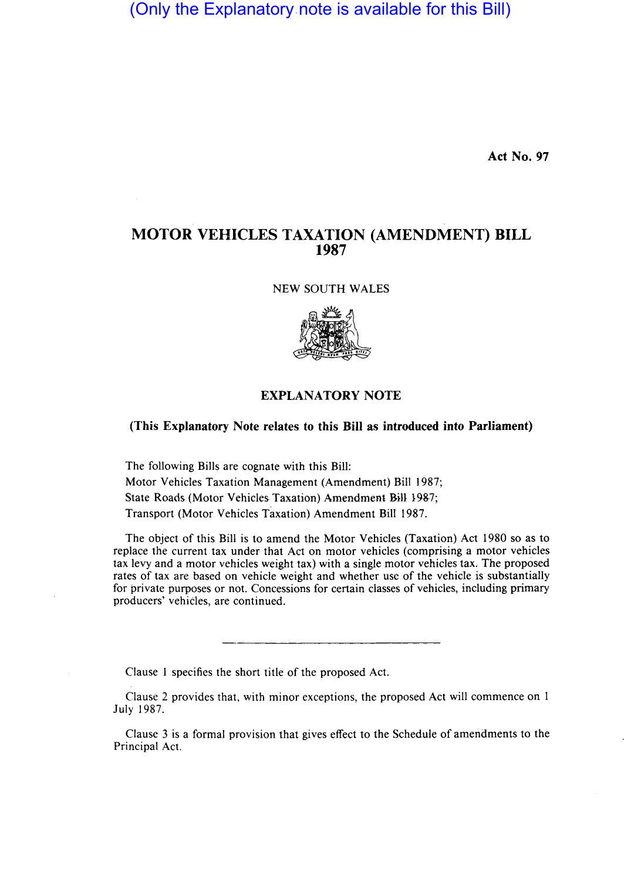(Only the Explanatory note is available for this Bill)

**Act No. 97** 

## **MOTOR VEHICLES TAXATION (AMENDMENT) BILL 1987**

NEW SOUTH WALES



## **EXPLANATORY NOTE**

## **(This Explanatory Note relates to this Bill as introduced into Parliament)**

The following Bills are cognate with this Bill: Motor Vehicles Taxation Management (Amendment) Bill 1987; State Roads (Motor Vehicles Taxation) Amendment Bill 1987; Transport (Motor Vehicles Taxation) Amendment Bill 1987.

The object of this Bill is to amend the Motor Vehicles (Taxation) Act 1980 so as to replace the current tax under that Act on motor vehicles (comprising a motor vehicles tax levy and a motor vehicles weight tax) with a single motor vehicles tax. The proposed rates of tax are based on vehicle weight and whether use of the vehicle is substantially for private purposes or not. Concessions for certain classes of vehicles, including primary producers' vehicles, are continued.

Clause I specifies the short title of the proposed Act.

Clause 2 provides that, with minor exceptions, the proposed Act will commence on I July 1987.

Clause 3 is a formal provision that gives effect to the Schedule of amendments to the Principal Act.